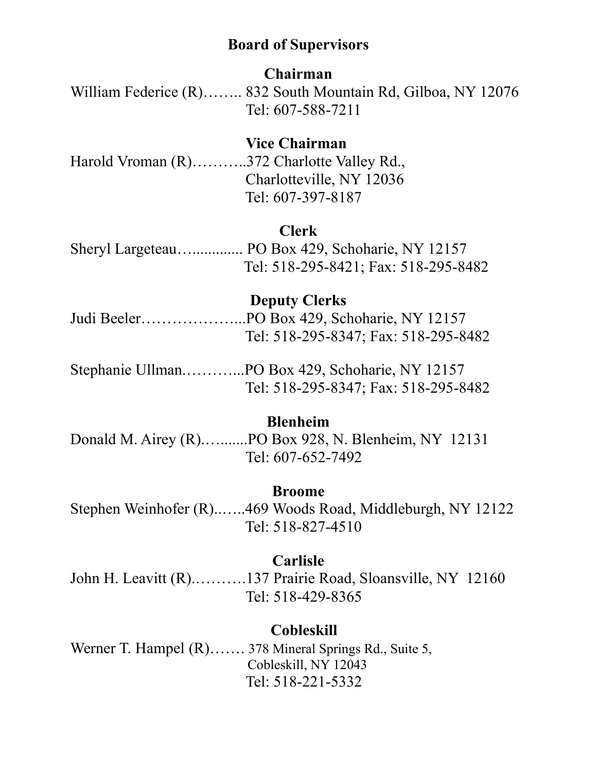# **Board of Supervisors**

### **Chairman**

William Federice (R)…….. 832 South Mountain Rd, Gilboa, NY 12076 Tel: 607-588-7211

# **Vice Chairman**

Harold Vroman (R)………..372 Charlotte Valley Rd., Charlotteville, NY 12036 Tel: 607-397-8187

### **Clerk**

Sheryl Largeteau…............. PO Box 429, Schoharie, NY 12157 Tel: 518-295-8421; Fax: 518-295-8482

#### **Deputy Clerks**

Judi Beeler………………...PO Box 429, Schoharie, NY 12157 Tel: 518-295-8347; Fax: 518-295-8482

Stephanie Ullman.………...PO Box 429, Schoharie, NY 12157 Tel: 518-295-8347; Fax: 518-295-8482

## **Blenheim**

Donald M. Airey (R).….......PO Box 928, N. Blenheim, NY 12131 Tel: 607-652-7492

#### **Broome**

Stephen Weinhofer (R)..…..469 Woods Road, Middleburgh, NY 12122 Tel: 518-827-4510

#### **Carlisle**

John H. Leavitt (R).……….137 Prairie Road, Sloansville, NY 12160 Tel: 518-429-8365

# **Cobleskill**

Werner T. Hampel (R)……. 378 Mineral Springs Rd., Suite 5, Cobleskill, NY 12043 Tel: 518-221-5332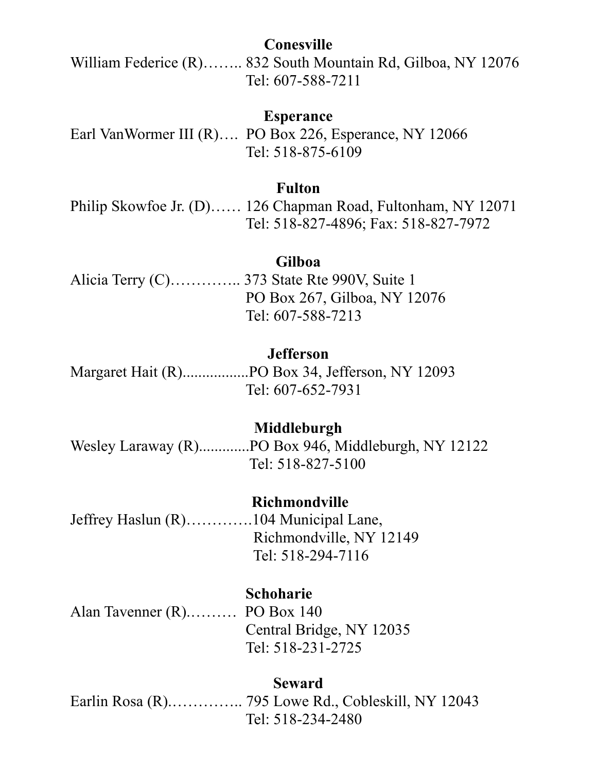## **Conesville**

William Federice (R)…….. 832 South Mountain Rd, Gilboa, NY 12076 Tel: 607-588-7211

### **Esperance**

Earl VanWormer III (R)…. PO Box 226, Esperance, NY 12066 Tel: 518-875-6109

### **Fulton**

Philip Skowfoe Jr. (D)…… 126 Chapman Road, Fultonham, NY 12071 Tel: 518-827-4896; Fax: 518-827-7972

### **Gilboa**

Alicia Terry (C)………….. 373 State Rte 990V, Suite 1 PO Box 267, Gilboa, NY 12076 Tel: 607-588-7213

#### **Jefferson**

Margaret Hait (R).................PO Box 34, Jefferson, NY 12093 Tel: 607-652-7931

### **Middleburgh**

Wesley Laraway (R).............PO Box 946, Middleburgh, NY 12122 Tel: 518-827-5100

#### **Richmondville**

Jeffrey Haslun (R)………….104 Municipal Lane, Richmondville, NY 12149 Tel: 518-294-7116

## **Schoharie**

Alan Tavenner (R).……… PO Box 140 Central Bridge, NY 12035 Tel: 518-231-2725

### **Seward**

Earlin Rosa (R).………….. 795 Lowe Rd., Cobleskill, NY 12043 Tel: 518-234-2480